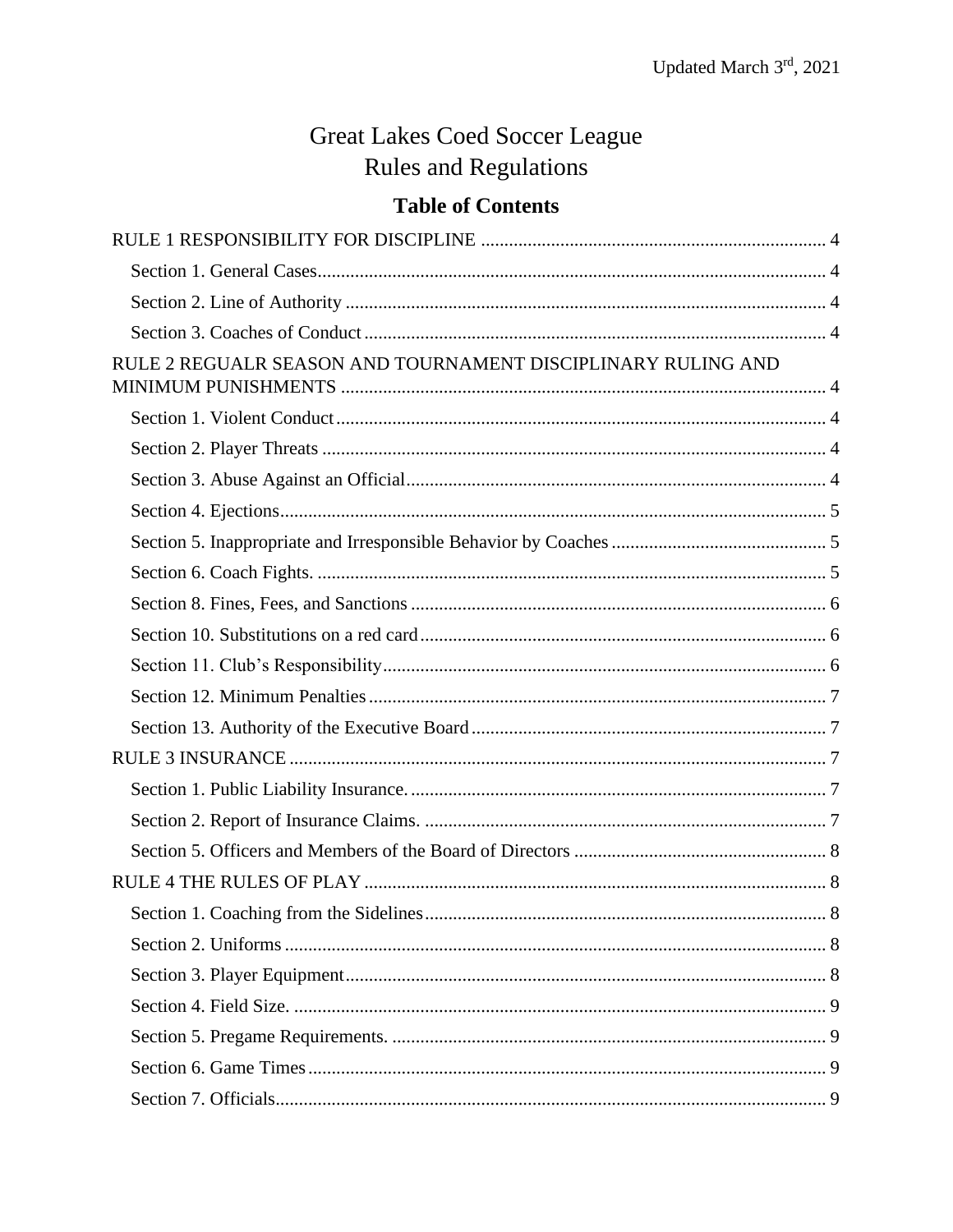# **Great Lakes Coed Soccer League Rules and Regulations**

# **Table of Contents**

| RULE 2 REGUALR SEASON AND TOURNAMENT DISCIPLINARY RULING AND |  |
|--------------------------------------------------------------|--|
|                                                              |  |
|                                                              |  |
|                                                              |  |
|                                                              |  |
|                                                              |  |
|                                                              |  |
|                                                              |  |
|                                                              |  |
|                                                              |  |
|                                                              |  |
|                                                              |  |
|                                                              |  |
|                                                              |  |
|                                                              |  |
|                                                              |  |
|                                                              |  |
|                                                              |  |
|                                                              |  |
|                                                              |  |
|                                                              |  |
|                                                              |  |
|                                                              |  |
|                                                              |  |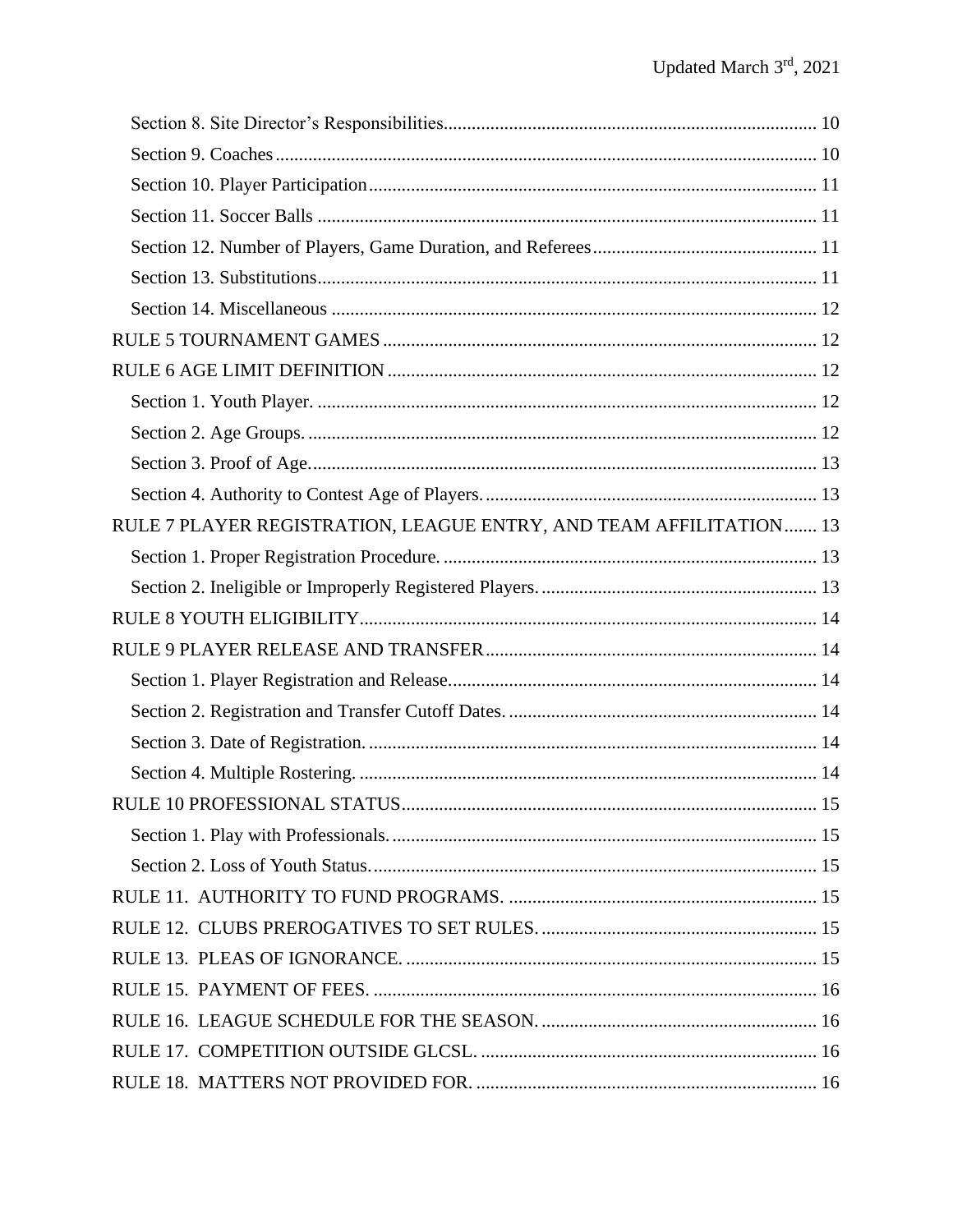| RULE 7 PLAYER REGISTRATION, LEAGUE ENTRY, AND TEAM AFFILITATION 13 |    |
|--------------------------------------------------------------------|----|
|                                                                    |    |
|                                                                    |    |
|                                                                    |    |
|                                                                    |    |
|                                                                    |    |
|                                                                    |    |
|                                                                    |    |
|                                                                    |    |
| RULE 10 PROFESSIONAL STATUS.                                       | 15 |
|                                                                    |    |
|                                                                    |    |
|                                                                    |    |
|                                                                    |    |
|                                                                    |    |
|                                                                    |    |
|                                                                    |    |
|                                                                    |    |
|                                                                    |    |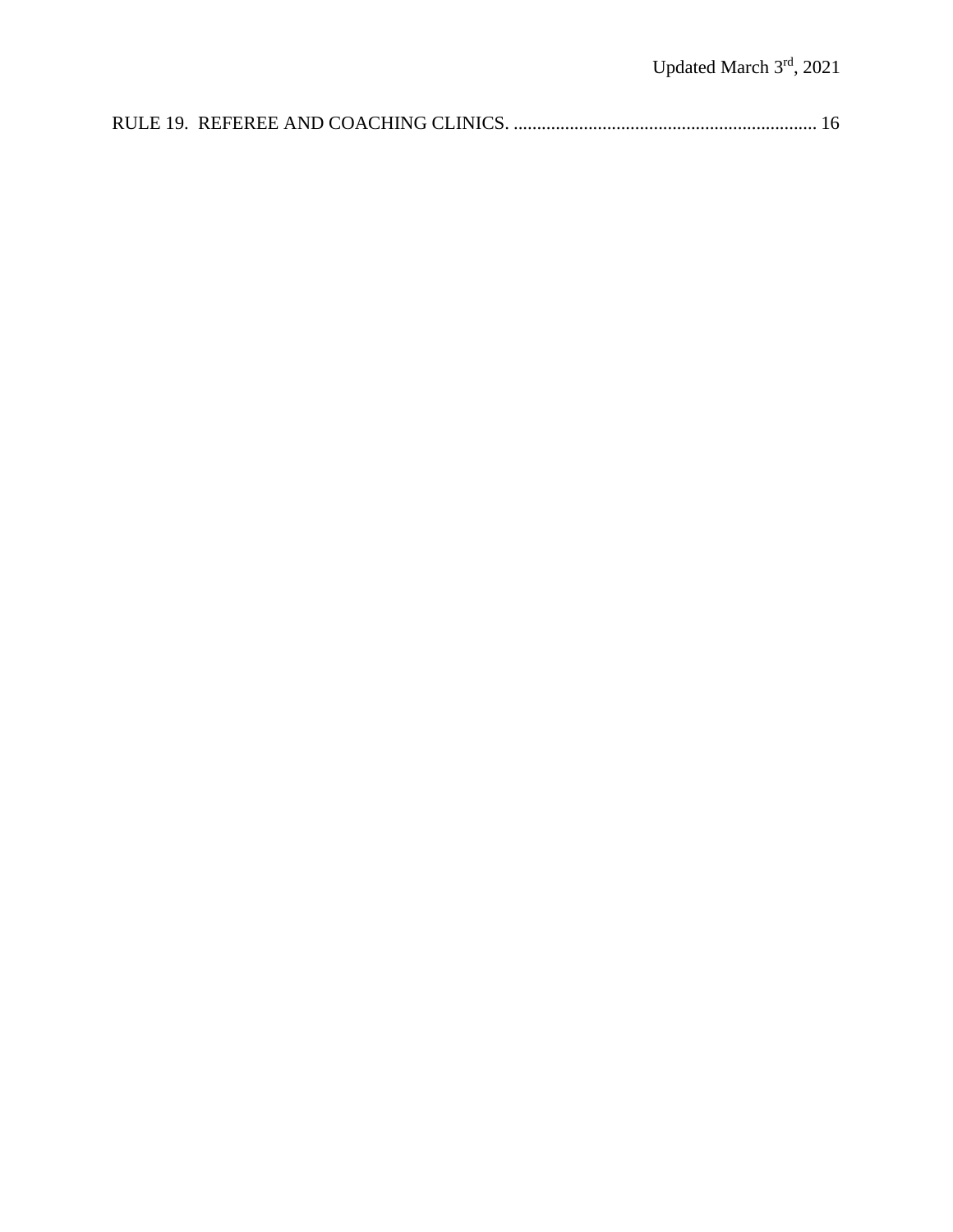|--|--|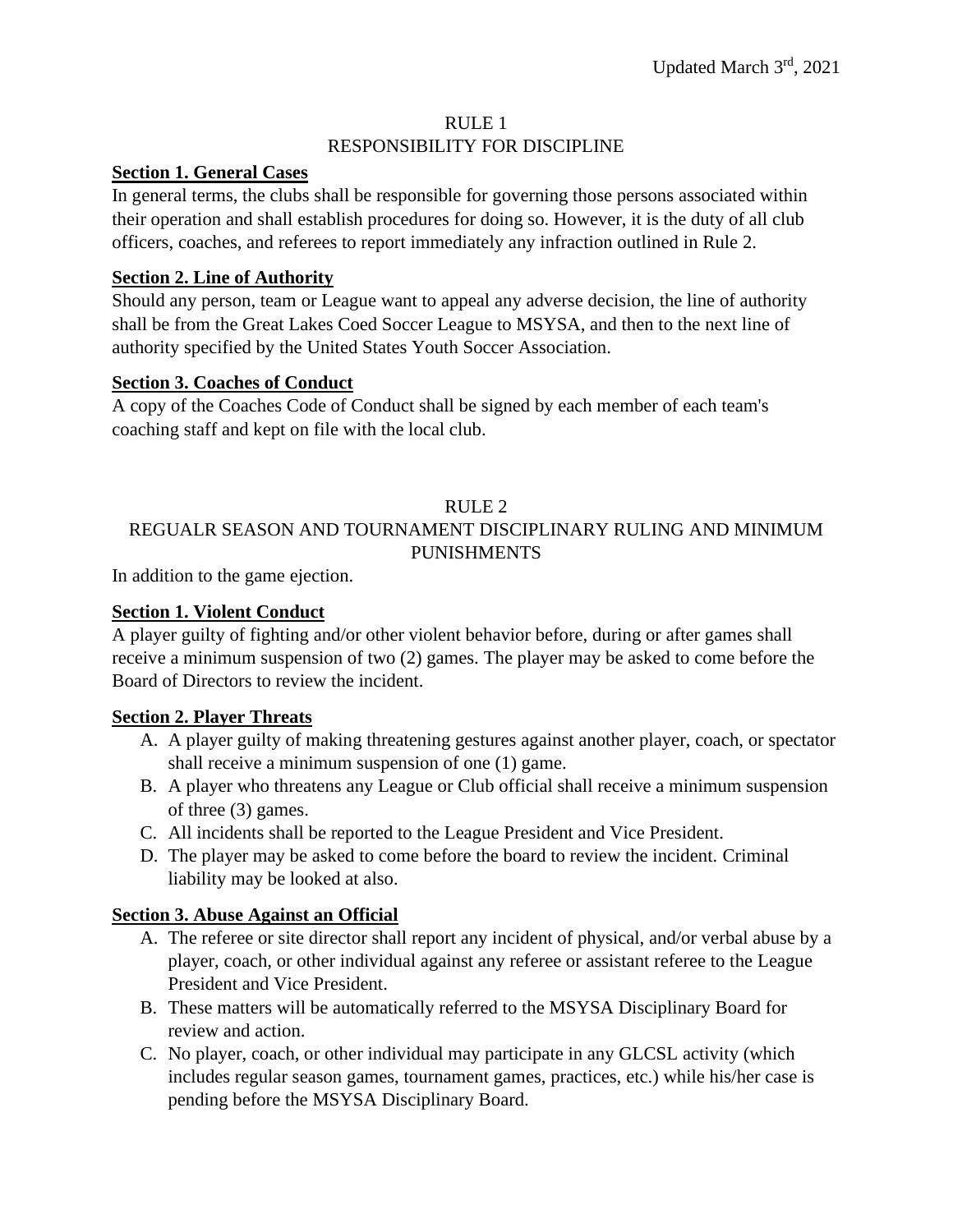#### RULE 1

#### RESPONSIBILITY FOR DISCIPLINE

#### <span id="page-3-1"></span><span id="page-3-0"></span>**Section 1. General Cases**

In general terms, the clubs shall be responsible for governing those persons associated within their operation and shall establish procedures for doing so. However, it is the duty of all club officers, coaches, and referees to report immediately any infraction outlined in Rule 2.

## <span id="page-3-2"></span>**Section 2. Line of Authority**

Should any person, team or League want to appeal any adverse decision, the line of authority shall be from the Great Lakes Coed Soccer League to MSYSA, and then to the next line of authority specified by the United States Youth Soccer Association.

### <span id="page-3-3"></span>**Section 3. Coaches of Conduct**

A copy of the Coaches Code of Conduct shall be signed by each member of each team's coaching staff and kept on file with the local club.

### RULE 2

# <span id="page-3-4"></span>REGUALR SEASON AND TOURNAMENT DISCIPLINARY RULING AND MINIMUM PUNISHMENTS

In addition to the game ejection.

#### <span id="page-3-5"></span>**Section 1. Violent Conduct**

A player guilty of fighting and/or other violent behavior before, during or after games shall receive a minimum suspension of two (2) games. The player may be asked to come before the Board of Directors to review the incident.

#### <span id="page-3-6"></span>**Section 2. Player Threats**

- A. A player guilty of making threatening gestures against another player, coach, or spectator shall receive a minimum suspension of one (1) game.
- B. A player who threatens any League or Club official shall receive a minimum suspension of three (3) games.
- C. All incidents shall be reported to the League President and Vice President.
- D. The player may be asked to come before the board to review the incident. Criminal liability may be looked at also.

# <span id="page-3-7"></span>**Section 3. Abuse Against an Official**

- A. The referee or site director shall report any incident of physical, and/or verbal abuse by a player, coach, or other individual against any referee or assistant referee to the League President and Vice President.
- B. These matters will be automatically referred to the MSYSA Disciplinary Board for review and action.
- C. No player, coach, or other individual may participate in any GLCSL activity (which includes regular season games, tournament games, practices, etc.) while his/her case is pending before the MSYSA Disciplinary Board.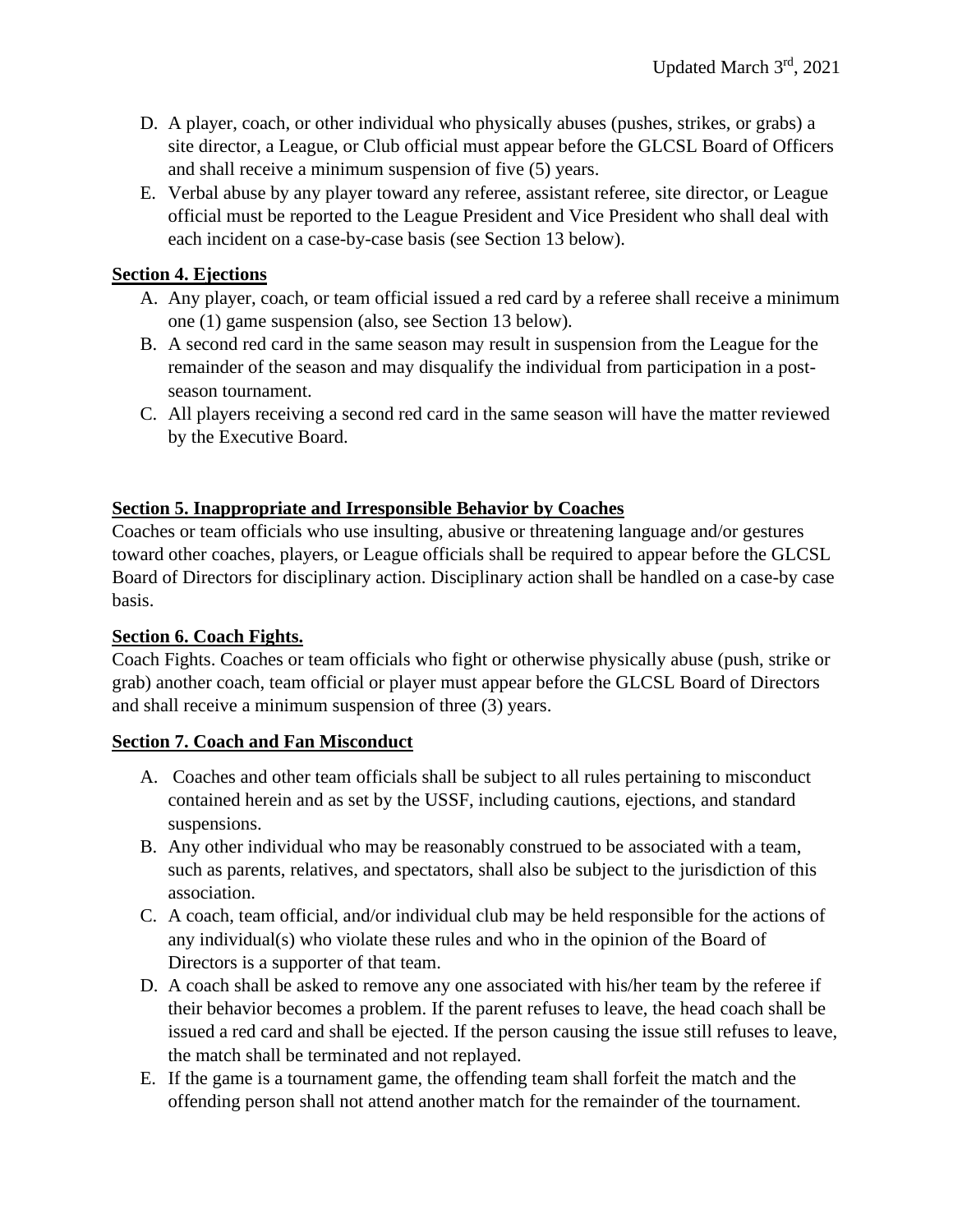- D. A player, coach, or other individual who physically abuses (pushes, strikes, or grabs) a site director, a League, or Club official must appear before the GLCSL Board of Officers and shall receive a minimum suspension of five (5) years.
- E. Verbal abuse by any player toward any referee, assistant referee, site director, or League official must be reported to the League President and Vice President who shall deal with each incident on a case-by-case basis (see Section 13 below).

### <span id="page-4-0"></span>**Section 4. Ejections**

- A. Any player, coach, or team official issued a red card by a referee shall receive a minimum one (1) game suspension (also, see Section 13 below).
- B. A second red card in the same season may result in suspension from the League for the remainder of the season and may disqualify the individual from participation in a postseason tournament.
- C. All players receiving a second red card in the same season will have the matter reviewed by the Executive Board.

# <span id="page-4-1"></span>**Section 5. Inappropriate and Irresponsible Behavior by Coaches**

Coaches or team officials who use insulting, abusive or threatening language and/or gestures toward other coaches, players, or League officials shall be required to appear before the GLCSL Board of Directors for disciplinary action. Disciplinary action shall be handled on a case-by case basis.

#### <span id="page-4-2"></span>**Section 6. Coach Fights.**

Coach Fights. Coaches or team officials who fight or otherwise physically abuse (push, strike or grab) another coach, team official or player must appear before the GLCSL Board of Directors and shall receive a minimum suspension of three (3) years.

#### **Section 7. Coach and Fan Misconduct**

- A. Coaches and other team officials shall be subject to all rules pertaining to misconduct contained herein and as set by the USSF, including cautions, ejections, and standard suspensions.
- B. Any other individual who may be reasonably construed to be associated with a team, such as parents, relatives, and spectators, shall also be subject to the jurisdiction of this association.
- C. A coach, team official, and/or individual club may be held responsible for the actions of any individual(s) who violate these rules and who in the opinion of the Board of Directors is a supporter of that team.
- D. A coach shall be asked to remove any one associated with his/her team by the referee if their behavior becomes a problem. If the parent refuses to leave, the head coach shall be issued a red card and shall be ejected. If the person causing the issue still refuses to leave, the match shall be terminated and not replayed.
- E. If the game is a tournament game, the offending team shall forfeit the match and the offending person shall not attend another match for the remainder of the tournament.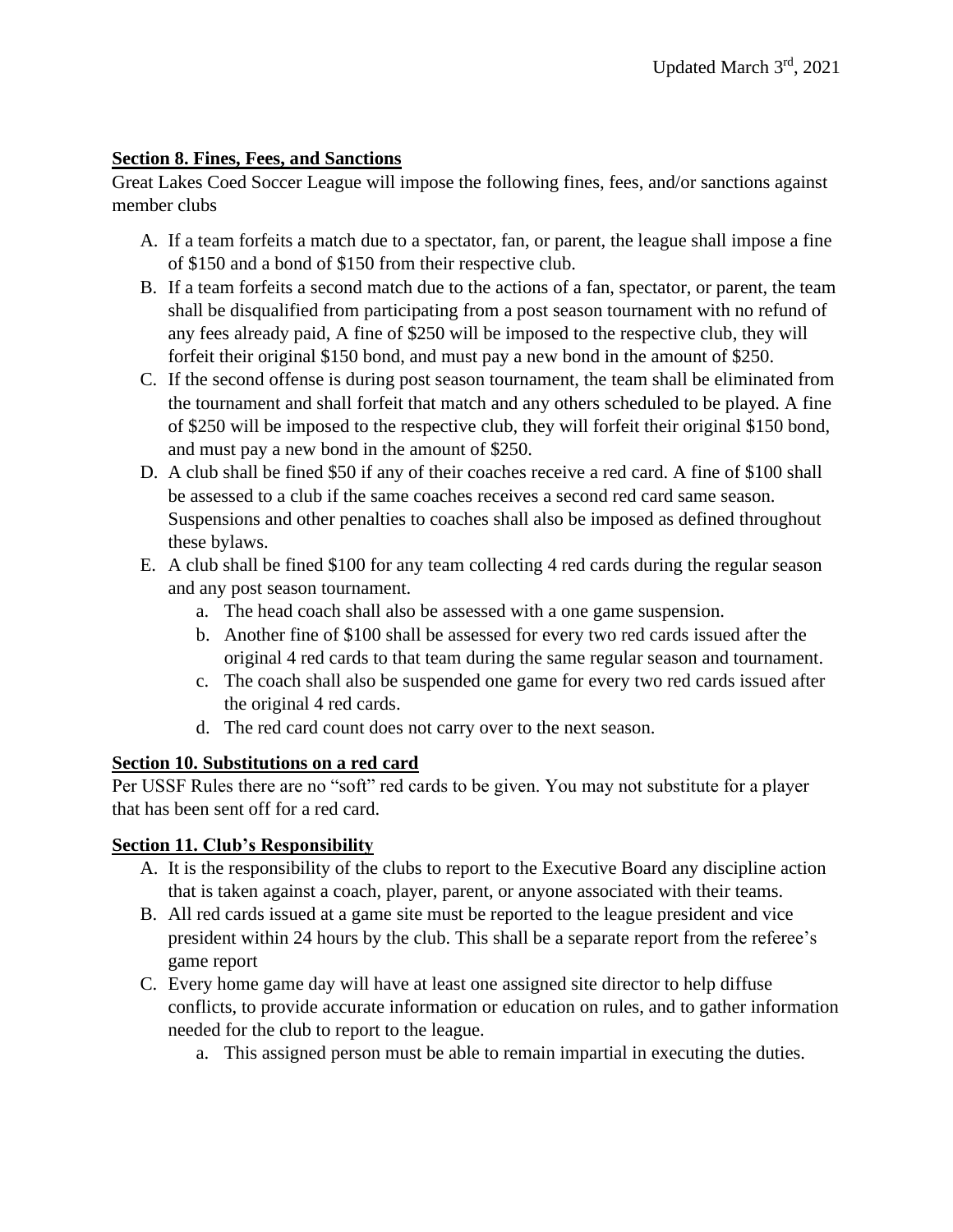# <span id="page-5-0"></span>**Section 8. Fines, Fees, and Sanctions**

Great Lakes Coed Soccer League will impose the following fines, fees, and/or sanctions against member clubs

- A. If a team forfeits a match due to a spectator, fan, or parent, the league shall impose a fine of \$150 and a bond of \$150 from their respective club.
- B. If a team forfeits a second match due to the actions of a fan, spectator, or parent, the team shall be disqualified from participating from a post season tournament with no refund of any fees already paid, A fine of \$250 will be imposed to the respective club, they will forfeit their original \$150 bond, and must pay a new bond in the amount of \$250.
- C. If the second offense is during post season tournament, the team shall be eliminated from the tournament and shall forfeit that match and any others scheduled to be played. A fine of \$250 will be imposed to the respective club, they will forfeit their original \$150 bond, and must pay a new bond in the amount of \$250.
- D. A club shall be fined \$50 if any of their coaches receive a red card. A fine of \$100 shall be assessed to a club if the same coaches receives a second red card same season. Suspensions and other penalties to coaches shall also be imposed as defined throughout these bylaws.
- E. A club shall be fined \$100 for any team collecting 4 red cards during the regular season and any post season tournament.
	- a. The head coach shall also be assessed with a one game suspension.
	- b. Another fine of \$100 shall be assessed for every two red cards issued after the original 4 red cards to that team during the same regular season and tournament.
	- c. The coach shall also be suspended one game for every two red cards issued after the original 4 red cards.
	- d. The red card count does not carry over to the next season.

#### <span id="page-5-1"></span>**Section 10. Substitutions on a red card**

Per USSF Rules there are no "soft" red cards to be given. You may not substitute for a player that has been sent off for a red card.

# <span id="page-5-2"></span>**Section 11. Club's Responsibility**

- A. It is the responsibility of the clubs to report to the Executive Board any discipline action that is taken against a coach, player, parent, or anyone associated with their teams.
- B. All red cards issued at a game site must be reported to the league president and vice president within 24 hours by the club. This shall be a separate report from the referee's game report
- C. Every home game day will have at least one assigned site director to help diffuse conflicts, to provide accurate information or education on rules, and to gather information needed for the club to report to the league.
	- a. This assigned person must be able to remain impartial in executing the duties.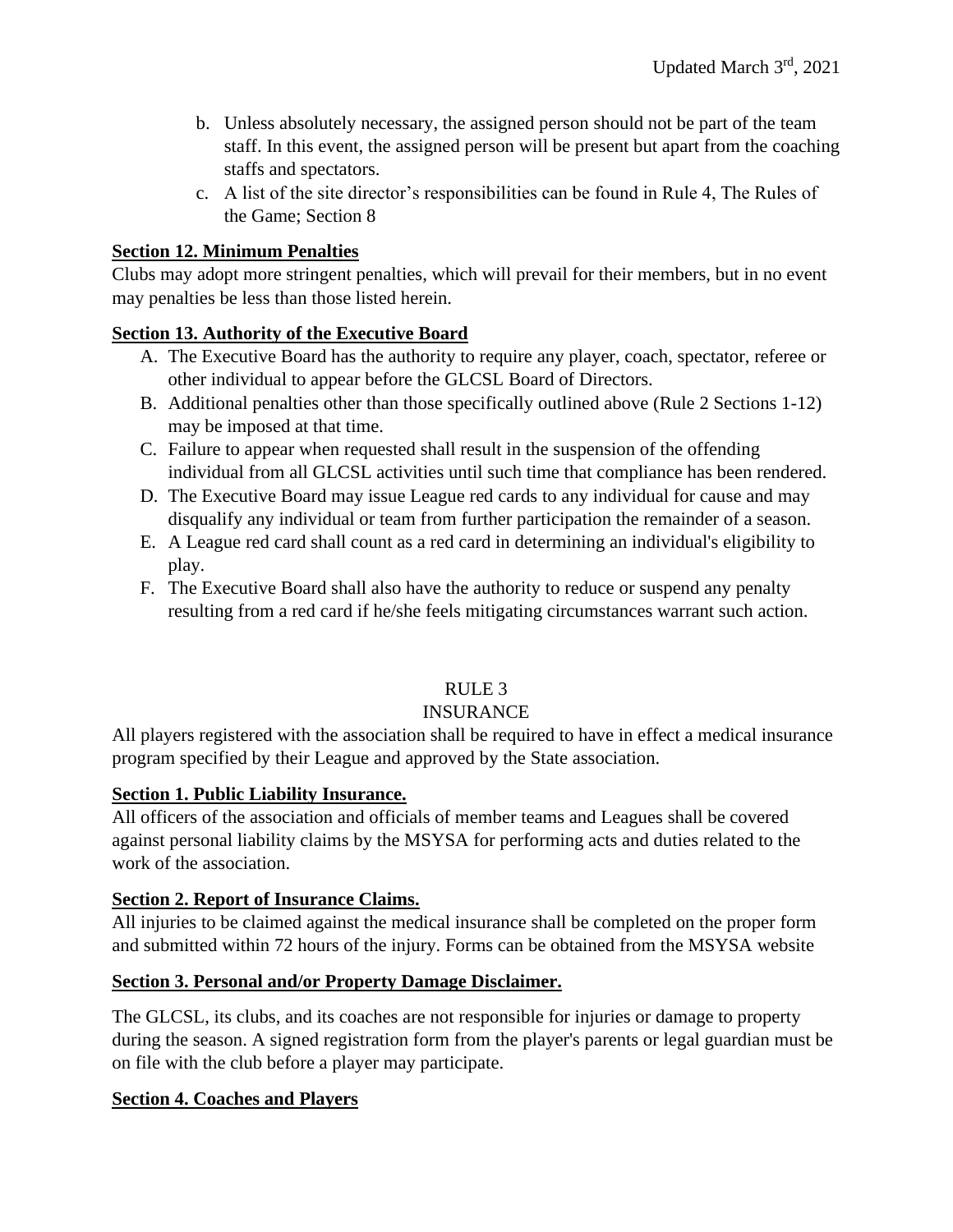- b. Unless absolutely necessary, the assigned person should not be part of the team staff. In this event, the assigned person will be present but apart from the coaching staffs and spectators.
- c. A list of the site director's responsibilities can be found in Rule 4, The Rules of the Game; Section 8

## <span id="page-6-0"></span>**Section 12. Minimum Penalties**

Clubs may adopt more stringent penalties, which will prevail for their members, but in no event may penalties be less than those listed herein.

# <span id="page-6-1"></span>**Section 13. Authority of the Executive Board**

- A. The Executive Board has the authority to require any player, coach, spectator, referee or other individual to appear before the GLCSL Board of Directors.
- B. Additional penalties other than those specifically outlined above (Rule 2 Sections 1-12) may be imposed at that time.
- C. Failure to appear when requested shall result in the suspension of the offending individual from all GLCSL activities until such time that compliance has been rendered.
- D. The Executive Board may issue League red cards to any individual for cause and may disqualify any individual or team from further participation the remainder of a season.
- E. A League red card shall count as a red card in determining an individual's eligibility to play.
- F. The Executive Board shall also have the authority to reduce or suspend any penalty resulting from a red card if he/she feels mitigating circumstances warrant such action.

# RULE 3

#### INSURANCE

<span id="page-6-2"></span>All players registered with the association shall be required to have in effect a medical insurance program specified by their League and approved by the State association.

#### <span id="page-6-3"></span>**Section 1. Public Liability Insurance.**

All officers of the association and officials of member teams and Leagues shall be covered against personal liability claims by the MSYSA for performing acts and duties related to the work of the association.

#### <span id="page-6-4"></span>**Section 2. Report of Insurance Claims.**

All injuries to be claimed against the medical insurance shall be completed on the proper form and submitted within 72 hours of the injury. Forms can be obtained from the MSYSA website

#### **Section 3. Personal and/or Property Damage Disclaimer.**

The GLCSL, its clubs, and its coaches are not responsible for injuries or damage to property during the season. A signed registration form from the player's parents or legal guardian must be on file with the club before a player may participate.

#### **Section 4. Coaches and Players**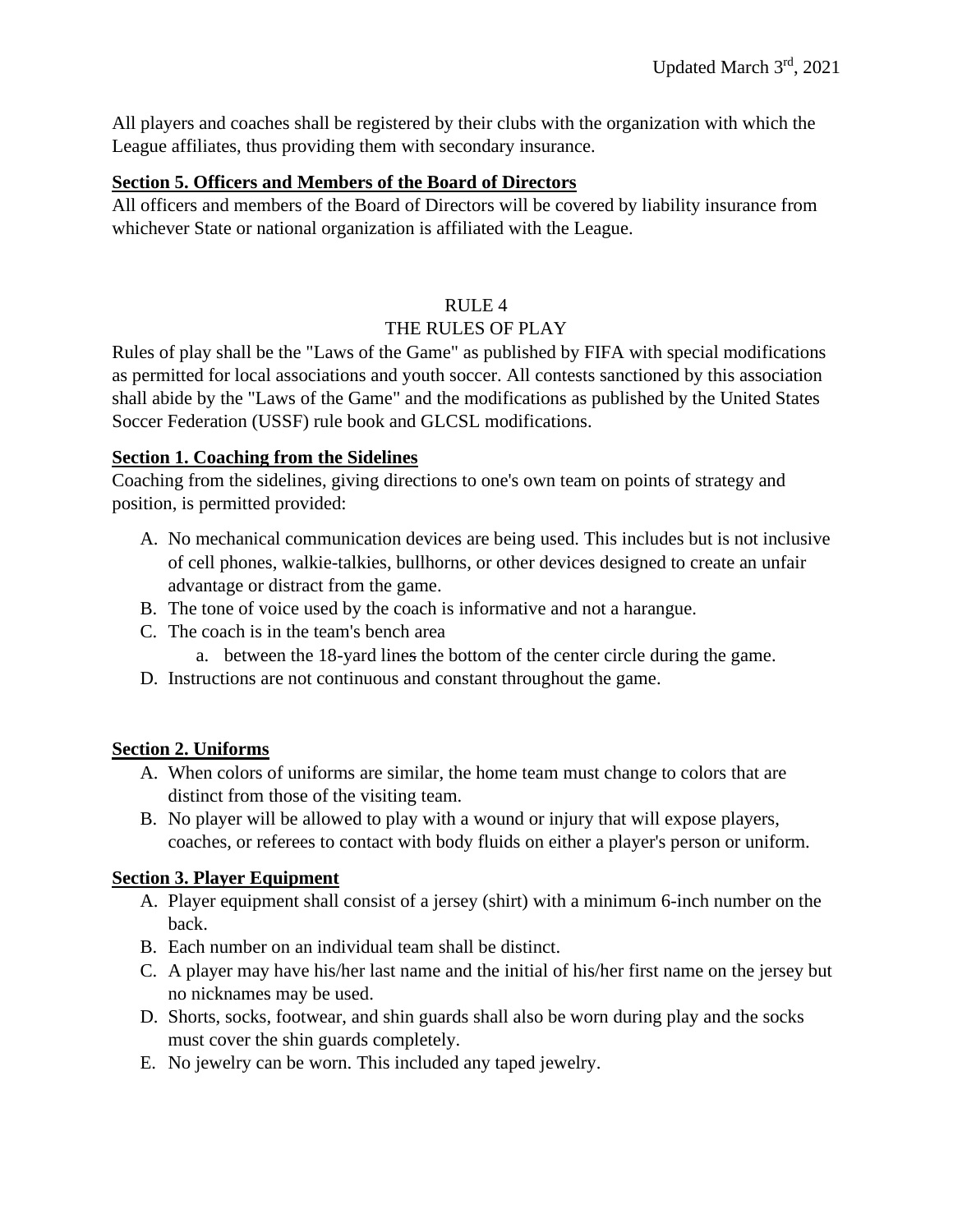All players and coaches shall be registered by their clubs with the organization with which the League affiliates, thus providing them with secondary insurance.

## <span id="page-7-0"></span>**Section 5. Officers and Members of the Board of Directors**

All officers and members of the Board of Directors will be covered by liability insurance from whichever State or national organization is affiliated with the League.

### RULE 4

### THE RULES OF PLAY

<span id="page-7-1"></span>Rules of play shall be the "Laws of the Game" as published by FIFA with special modifications as permitted for local associations and youth soccer. All contests sanctioned by this association shall abide by the "Laws of the Game" and the modifications as published by the United States Soccer Federation (USSF) rule book and GLCSL modifications.

# <span id="page-7-2"></span>**Section 1. Coaching from the Sidelines**

Coaching from the sidelines, giving directions to one's own team on points of strategy and position, is permitted provided:

- A. No mechanical communication devices are being used. This includes but is not inclusive of cell phones, walkie-talkies, bullhorns, or other devices designed to create an unfair advantage or distract from the game.
- B. The tone of voice used by the coach is informative and not a harangue.
- C. The coach is in the team's bench area
	- a. between the 18-yard lines the bottom of the center circle during the game.
- D. Instructions are not continuous and constant throughout the game.

# <span id="page-7-3"></span>**Section 2. Uniforms**

- A. When colors of uniforms are similar, the home team must change to colors that are distinct from those of the visiting team.
- B. No player will be allowed to play with a wound or injury that will expose players, coaches, or referees to contact with body fluids on either a player's person or uniform.

# <span id="page-7-4"></span>**Section 3. Player Equipment**

- A. Player equipment shall consist of a jersey (shirt) with a minimum 6-inch number on the back.
- B. Each number on an individual team shall be distinct.
- C. A player may have his/her last name and the initial of his/her first name on the jersey but no nicknames may be used.
- D. Shorts, socks, footwear, and shin guards shall also be worn during play and the socks must cover the shin guards completely.
- E. No jewelry can be worn. This included any taped jewelry.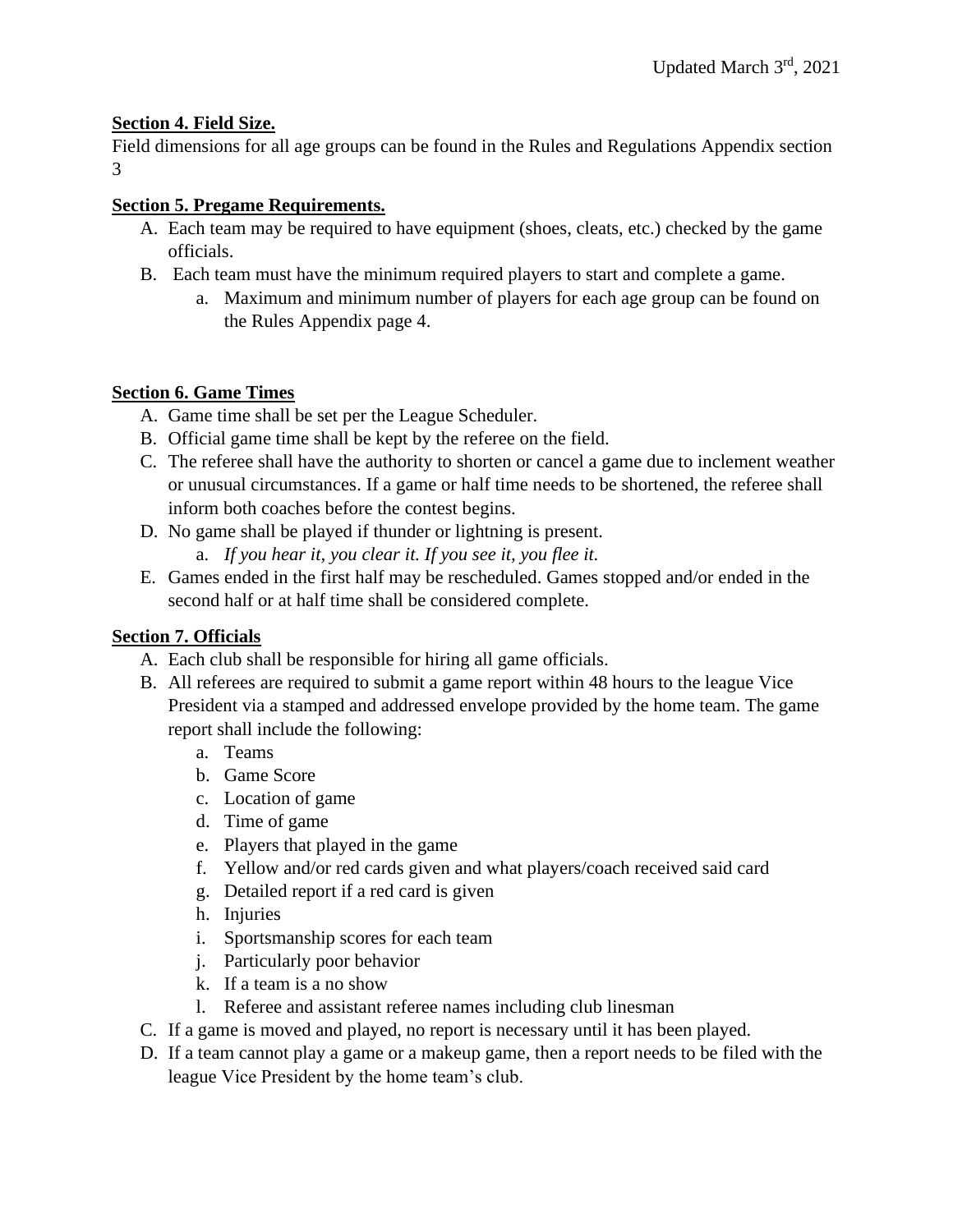# <span id="page-8-0"></span>**Section 4. Field Size.**

Field dimensions for all age groups can be found in the Rules and Regulations Appendix section 3

# <span id="page-8-1"></span>**Section 5. Pregame Requirements.**

- A. Each team may be required to have equipment (shoes, cleats, etc.) checked by the game officials.
- B. Each team must have the minimum required players to start and complete a game.
	- a. Maximum and minimum number of players for each age group can be found on the Rules Appendix page 4.

# <span id="page-8-2"></span>**Section 6. Game Times**

- A. Game time shall be set per the League Scheduler.
- B. Official game time shall be kept by the referee on the field.
- C. The referee shall have the authority to shorten or cancel a game due to inclement weather or unusual circumstances. If a game or half time needs to be shortened, the referee shall inform both coaches before the contest begins.
- D. No game shall be played if thunder or lightning is present.
	- a. *If you hear it, you clear it. If you see it, you flee it.*
- E. Games ended in the first half may be rescheduled. Games stopped and/or ended in the second half or at half time shall be considered complete.

# <span id="page-8-3"></span>**Section 7. Officials**

- A. Each club shall be responsible for hiring all game officials.
- B. All referees are required to submit a game report within 48 hours to the league Vice President via a stamped and addressed envelope provided by the home team. The game report shall include the following:
	- a. Teams
	- b. Game Score
	- c. Location of game
	- d. Time of game
	- e. Players that played in the game
	- f. Yellow and/or red cards given and what players/coach received said card
	- g. Detailed report if a red card is given
	- h. Injuries
	- i. Sportsmanship scores for each team
	- j. Particularly poor behavior
	- k. If a team is a no show
	- l. Referee and assistant referee names including club linesman
- C. If a game is moved and played, no report is necessary until it has been played.
- D. If a team cannot play a game or a makeup game, then a report needs to be filed with the league Vice President by the home team's club.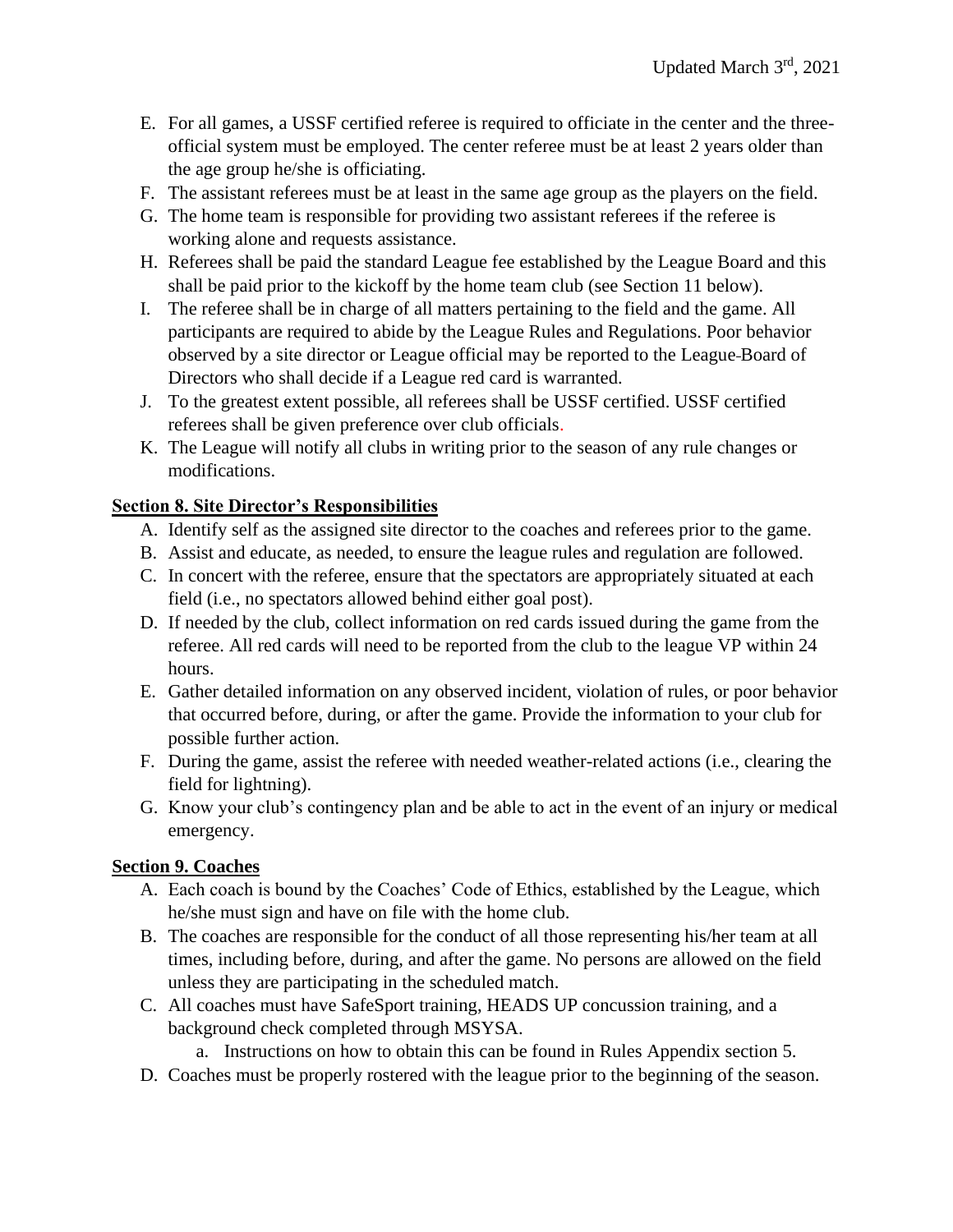- E. For all games, a USSF certified referee is required to officiate in the center and the threeofficial system must be employed. The center referee must be at least 2 years older than the age group he/she is officiating.
- F. The assistant referees must be at least in the same age group as the players on the field.
- G. The home team is responsible for providing two assistant referees if the referee is working alone and requests assistance.
- H. Referees shall be paid the standard League fee established by the League Board and this shall be paid prior to the kickoff by the home team club (see Section 11 below).
- I. The referee shall be in charge of all matters pertaining to the field and the game. All participants are required to abide by the League Rules and Regulations. Poor behavior observed by a site director or League official may be reported to the League Board of Directors who shall decide if a League red card is warranted.
- J. To the greatest extent possible, all referees shall be USSF certified. USSF certified referees shall be given preference over club officials.
- K. The League will notify all clubs in writing prior to the season of any rule changes or modifications.

# <span id="page-9-0"></span>**Section 8. Site Director's Responsibilities**

- A. Identify self as the assigned site director to the coaches and referees prior to the game.
- B. Assist and educate, as needed, to ensure the league rules and regulation are followed.
- C. In concert with the referee, ensure that the spectators are appropriately situated at each field (i.e., no spectators allowed behind either goal post).
- D. If needed by the club, collect information on red cards issued during the game from the referee. All red cards will need to be reported from the club to the league VP within 24 hours.
- E. Gather detailed information on any observed incident, violation of rules, or poor behavior that occurred before, during, or after the game. Provide the information to your club for possible further action.
- F. During the game, assist the referee with needed weather-related actions (i.e., clearing the field for lightning).
- G. Know your club's contingency plan and be able to act in the event of an injury or medical emergency.

# <span id="page-9-1"></span>**Section 9. Coaches**

- A. Each coach is bound by the Coaches' Code of Ethics, established by the League, which he/she must sign and have on file with the home club.
- B. The coaches are responsible for the conduct of all those representing his/her team at all times, including before, during, and after the game. No persons are allowed on the field unless they are participating in the scheduled match.
- C. All coaches must have SafeSport training, HEADS UP concussion training, and a background check completed through MSYSA.
	- a. Instructions on how to obtain this can be found in Rules Appendix section 5.
- D. Coaches must be properly rostered with the league prior to the beginning of the season.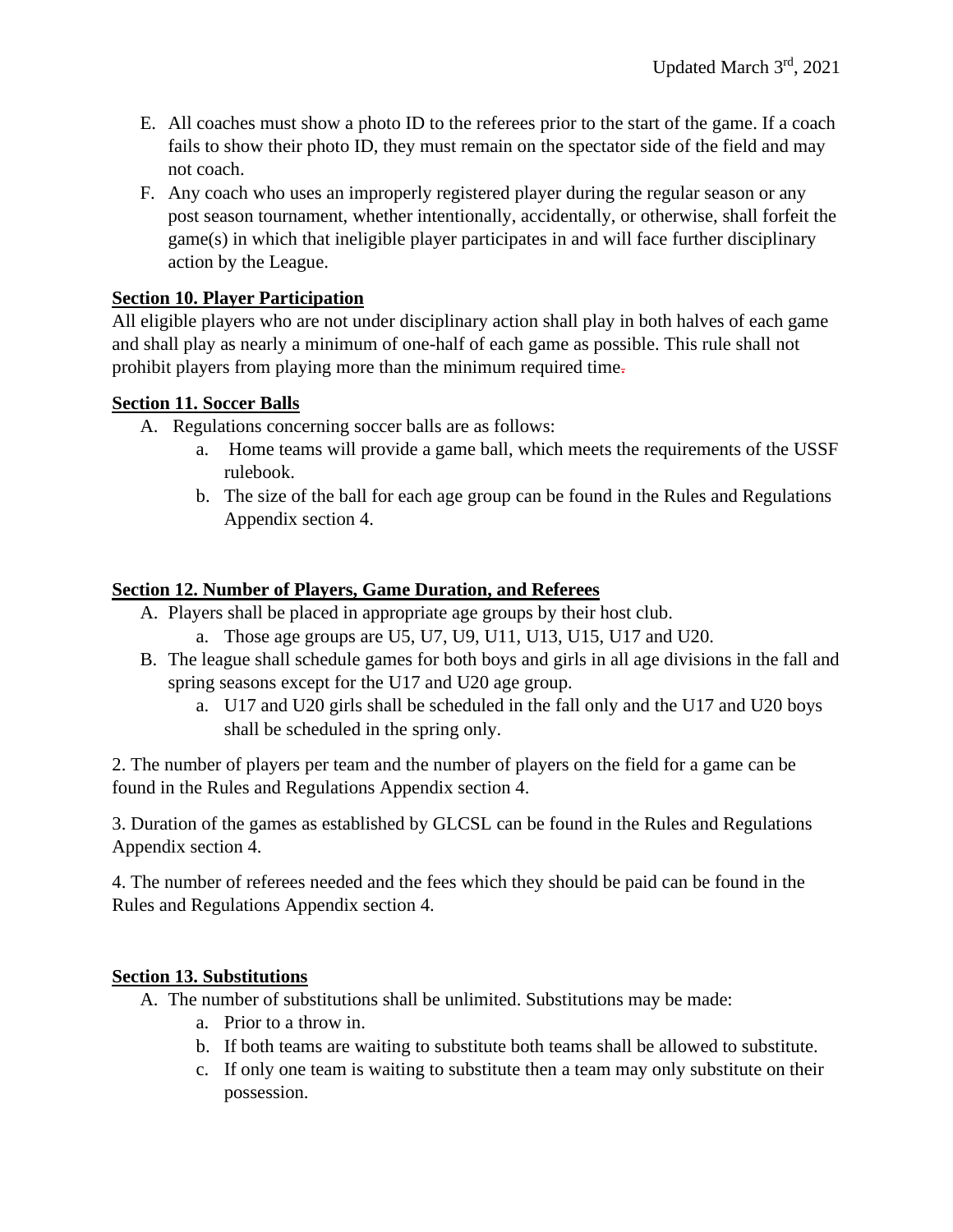- E. All coaches must show a photo ID to the referees prior to the start of the game. If a coach fails to show their photo ID, they must remain on the spectator side of the field and may not coach.
- F. Any coach who uses an improperly registered player during the regular season or any post season tournament, whether intentionally, accidentally, or otherwise, shall forfeit the game(s) in which that ineligible player participates in and will face further disciplinary action by the League.

## <span id="page-10-0"></span>**Section 10. Player Participation**

All eligible players who are not under disciplinary action shall play in both halves of each game and shall play as nearly a minimum of one-half of each game as possible. This rule shall not prohibit players from playing more than the minimum required time.

### <span id="page-10-1"></span>**Section 11. Soccer Balls**

- A. Regulations concerning soccer balls are as follows:
	- a. Home teams will provide a game ball, which meets the requirements of the USSF rulebook.
	- b. The size of the ball for each age group can be found in the Rules and Regulations Appendix section 4.

# <span id="page-10-2"></span>**Section 12. Number of Players, Game Duration, and Referees**

- A. Players shall be placed in appropriate age groups by their host club.
	- a. Those age groups are U5, U7, U9, U11, U13, U15, U17 and U20.
- B. The league shall schedule games for both boys and girls in all age divisions in the fall and spring seasons except for the U17 and U20 age group.
	- a. U17 and U20 girls shall be scheduled in the fall only and the U17 and U20 boys shall be scheduled in the spring only.

2. The number of players per team and the number of players on the field for a game can be found in the Rules and Regulations Appendix section 4.

3. Duration of the games as established by GLCSL can be found in the Rules and Regulations Appendix section 4.

4. The number of referees needed and the fees which they should be paid can be found in the Rules and Regulations Appendix section 4.

#### <span id="page-10-3"></span>**Section 13. Substitutions**

A. The number of substitutions shall be unlimited. Substitutions may be made:

- a. Prior to a throw in.
- b. If both teams are waiting to substitute both teams shall be allowed to substitute.
- c. If only one team is waiting to substitute then a team may only substitute on their possession.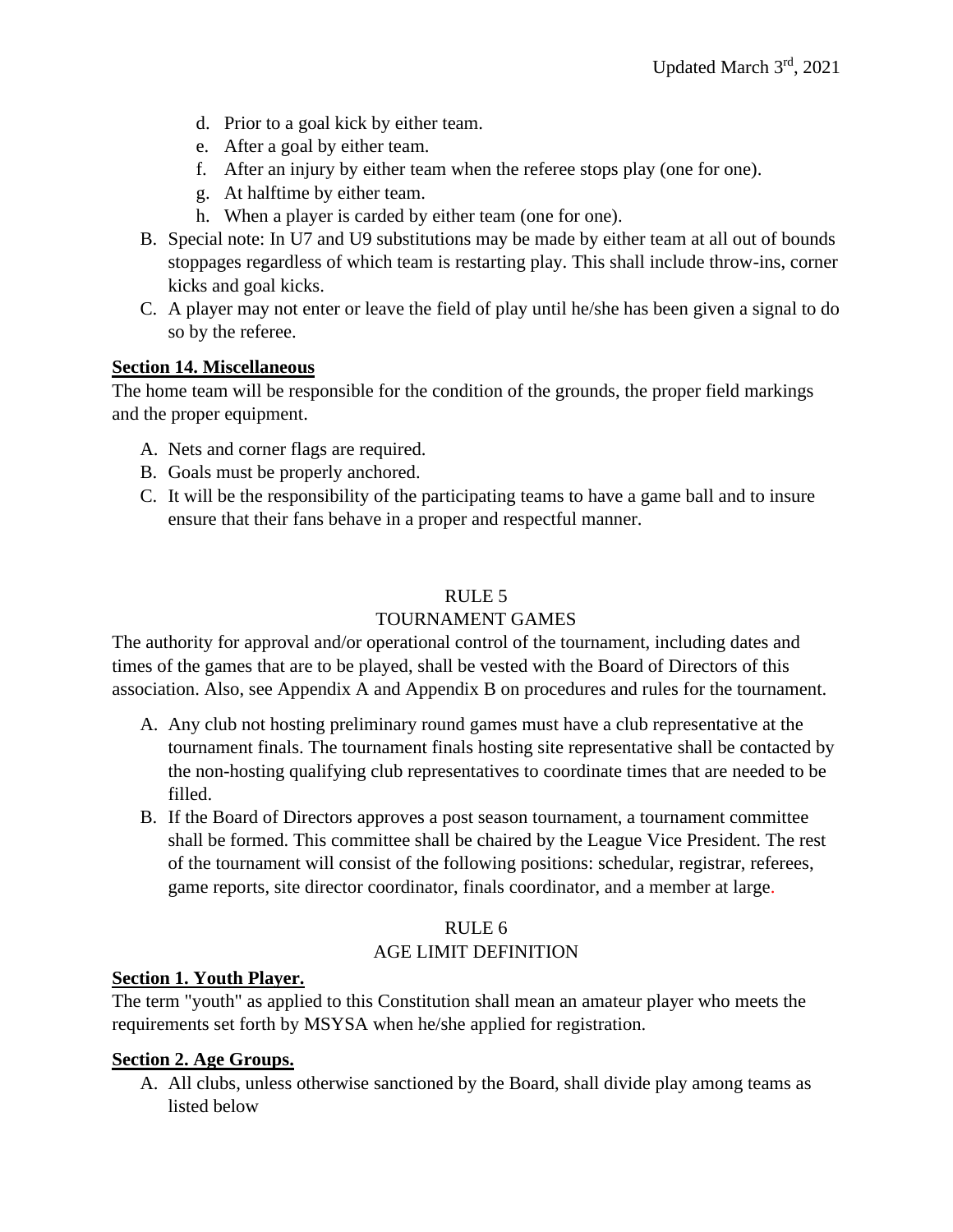- d. Prior to a goal kick by either team.
- e. After a goal by either team.
- f. After an injury by either team when the referee stops play (one for one).
- g. At halftime by either team.
- h. When a player is carded by either team (one for one).
- B. Special note: In U7 and U9 substitutions may be made by either team at all out of bounds stoppages regardless of which team is restarting play. This shall include throw-ins, corner kicks and goal kicks.
- C. A player may not enter or leave the field of play until he/she has been given a signal to do so by the referee.

#### <span id="page-11-0"></span>**Section 14. Miscellaneous**

The home team will be responsible for the condition of the grounds, the proper field markings and the proper equipment.

- A. Nets and corner flags are required.
- B. Goals must be properly anchored.
- C. It will be the responsibility of the participating teams to have a game ball and to insure ensure that their fans behave in a proper and respectful manner.

#### RULE 5

#### TOURNAMENT GAMES

<span id="page-11-1"></span>The authority for approval and/or operational control of the tournament, including dates and times of the games that are to be played, shall be vested with the Board of Directors of this association. Also, see Appendix A and Appendix B on procedures and rules for the tournament.

- A. Any club not hosting preliminary round games must have a club representative at the tournament finals. The tournament finals hosting site representative shall be contacted by the non-hosting qualifying club representatives to coordinate times that are needed to be filled.
- B. If the Board of Directors approves a post season tournament, a tournament committee shall be formed. This committee shall be chaired by the League Vice President. The rest of the tournament will consist of the following positions: schedular, registrar, referees, game reports, site director coordinator, finals coordinator, and a member at large.

#### RULE 6 AGE LIMIT DEFINITION

#### <span id="page-11-3"></span><span id="page-11-2"></span>**Section 1. Youth Player.**

The term "youth" as applied to this Constitution shall mean an amateur player who meets the requirements set forth by MSYSA when he/she applied for registration.

#### <span id="page-11-4"></span>**Section 2. Age Groups.**

A. All clubs, unless otherwise sanctioned by the Board, shall divide play among teams as listed below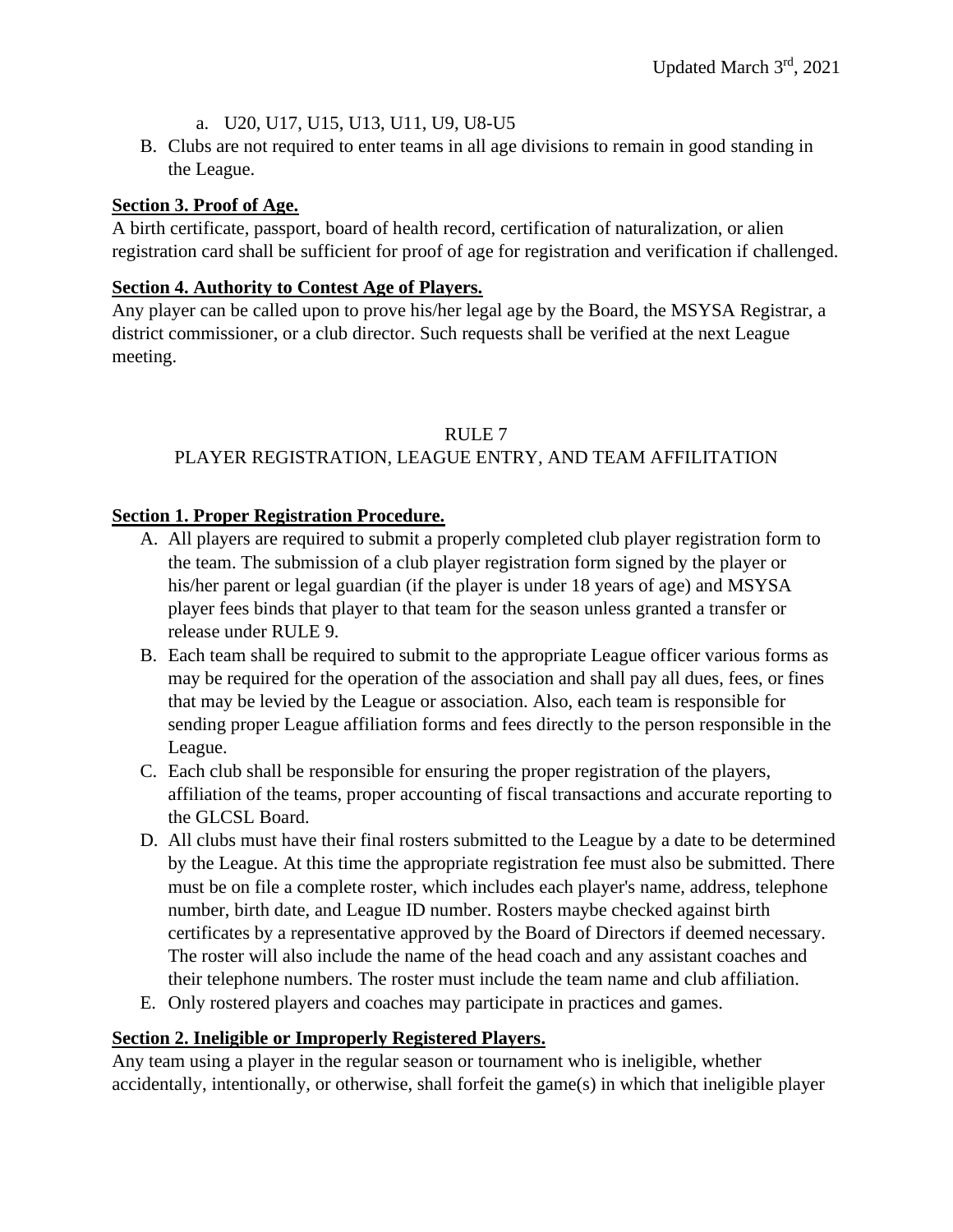- a. U20, U17, U15, U13, U11, U9, U8-U5
- B. Clubs are not required to enter teams in all age divisions to remain in good standing in the League.

# <span id="page-12-0"></span>**Section 3. Proof of Age.**

A birth certificate, passport, board of health record, certification of naturalization, or alien registration card shall be sufficient for proof of age for registration and verification if challenged.

# <span id="page-12-1"></span>**Section 4. Authority to Contest Age of Players.**

Any player can be called upon to prove his/her legal age by the Board, the MSYSA Registrar, a district commissioner, or a club director. Such requests shall be verified at the next League meeting.

# RULE 7

# <span id="page-12-2"></span>PLAYER REGISTRATION, LEAGUE ENTRY, AND TEAM AFFILITATION

# <span id="page-12-3"></span>**Section 1. Proper Registration Procedure.**

- A. All players are required to submit a properly completed club player registration form to the team. The submission of a club player registration form signed by the player or his/her parent or legal guardian (if the player is under 18 years of age) and MSYSA player fees binds that player to that team for the season unless granted a transfer or release under RULE 9.
- B. Each team shall be required to submit to the appropriate League officer various forms as may be required for the operation of the association and shall pay all dues, fees, or fines that may be levied by the League or association. Also, each team is responsible for sending proper League affiliation forms and fees directly to the person responsible in the League.
- C. Each club shall be responsible for ensuring the proper registration of the players, affiliation of the teams, proper accounting of fiscal transactions and accurate reporting to the GLCSL Board.
- D. All clubs must have their final rosters submitted to the League by a date to be determined by the League. At this time the appropriate registration fee must also be submitted. There must be on file a complete roster, which includes each player's name, address, telephone number, birth date, and League ID number. Rosters maybe checked against birth certificates by a representative approved by the Board of Directors if deemed necessary. The roster will also include the name of the head coach and any assistant coaches and their telephone numbers. The roster must include the team name and club affiliation.
- E. Only rostered players and coaches may participate in practices and games.

# <span id="page-12-4"></span>**Section 2. Ineligible or Improperly Registered Players.**

Any team using a player in the regular season or tournament who is ineligible, whether accidentally, intentionally, or otherwise, shall forfeit the game(s) in which that ineligible player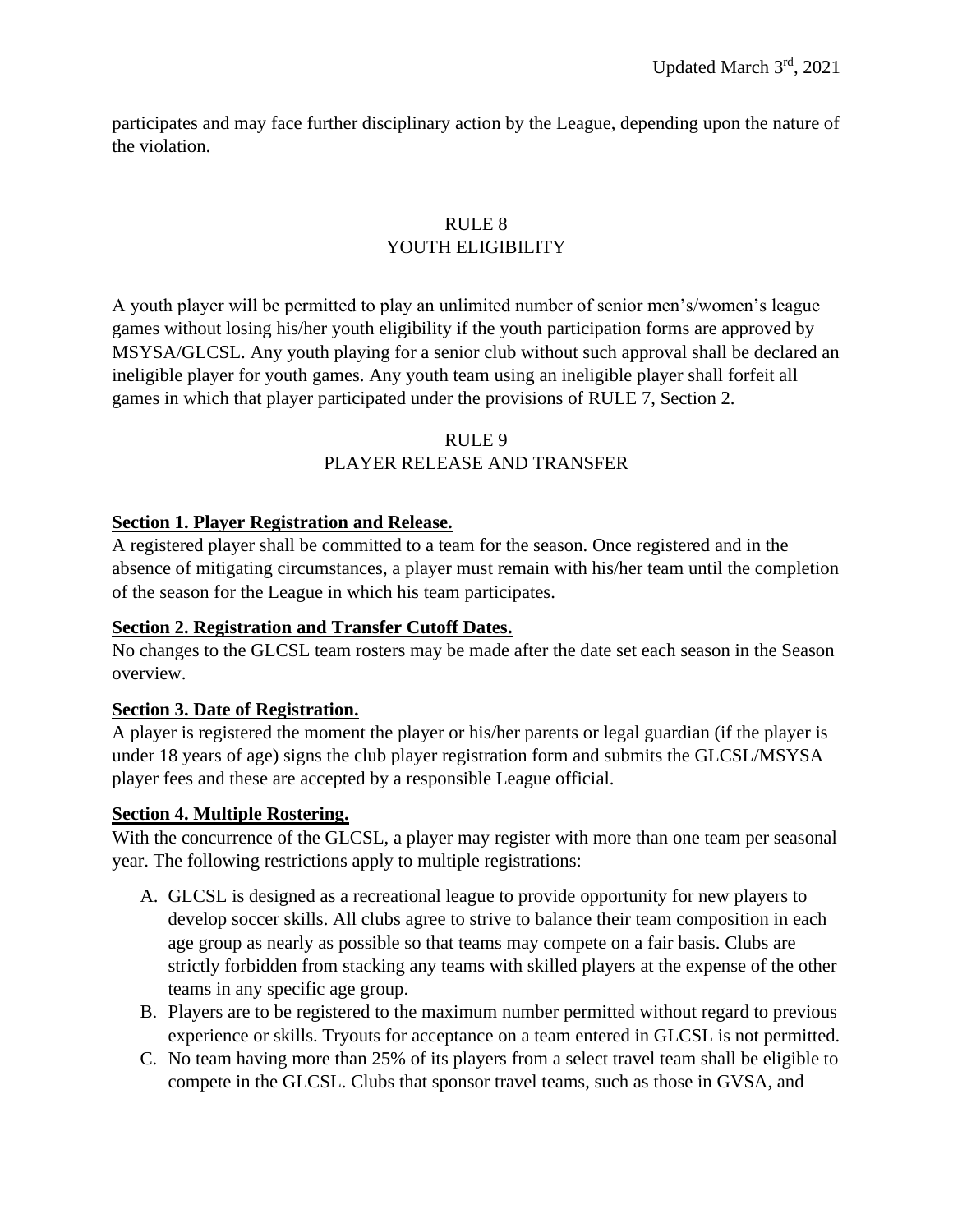participates and may face further disciplinary action by the League, depending upon the nature of the violation.

# RULE 8 YOUTH ELIGIBILITY

<span id="page-13-0"></span>A youth player will be permitted to play an unlimited number of senior men's/women's league games without losing his/her youth eligibility if the youth participation forms are approved by MSYSA/GLCSL. Any youth playing for a senior club without such approval shall be declared an ineligible player for youth games. Any youth team using an ineligible player shall forfeit all games in which that player participated under the provisions of RULE 7, Section 2.

#### RULE 9 PLAYER RELEASE AND TRANSFER

#### <span id="page-13-2"></span><span id="page-13-1"></span>**Section 1. Player Registration and Release.**

A registered player shall be committed to a team for the season. Once registered and in the absence of mitigating circumstances, a player must remain with his/her team until the completion of the season for the League in which his team participates.

#### <span id="page-13-3"></span>**Section 2. Registration and Transfer Cutoff Dates.**

No changes to the GLCSL team rosters may be made after the date set each season in the Season overview.

#### <span id="page-13-4"></span>**Section 3. Date of Registration.**

A player is registered the moment the player or his/her parents or legal guardian (if the player is under 18 years of age) signs the club player registration form and submits the GLCSL/MSYSA player fees and these are accepted by a responsible League official.

#### <span id="page-13-5"></span>**Section 4. Multiple Rostering.**

With the concurrence of the GLCSL, a player may register with more than one team per seasonal year. The following restrictions apply to multiple registrations:

- A. GLCSL is designed as a recreational league to provide opportunity for new players to develop soccer skills. All clubs agree to strive to balance their team composition in each age group as nearly as possible so that teams may compete on a fair basis. Clubs are strictly forbidden from stacking any teams with skilled players at the expense of the other teams in any specific age group.
- B. Players are to be registered to the maximum number permitted without regard to previous experience or skills. Tryouts for acceptance on a team entered in GLCSL is not permitted.
- C. No team having more than 25% of its players from a select travel team shall be eligible to compete in the GLCSL. Clubs that sponsor travel teams, such as those in GVSA, and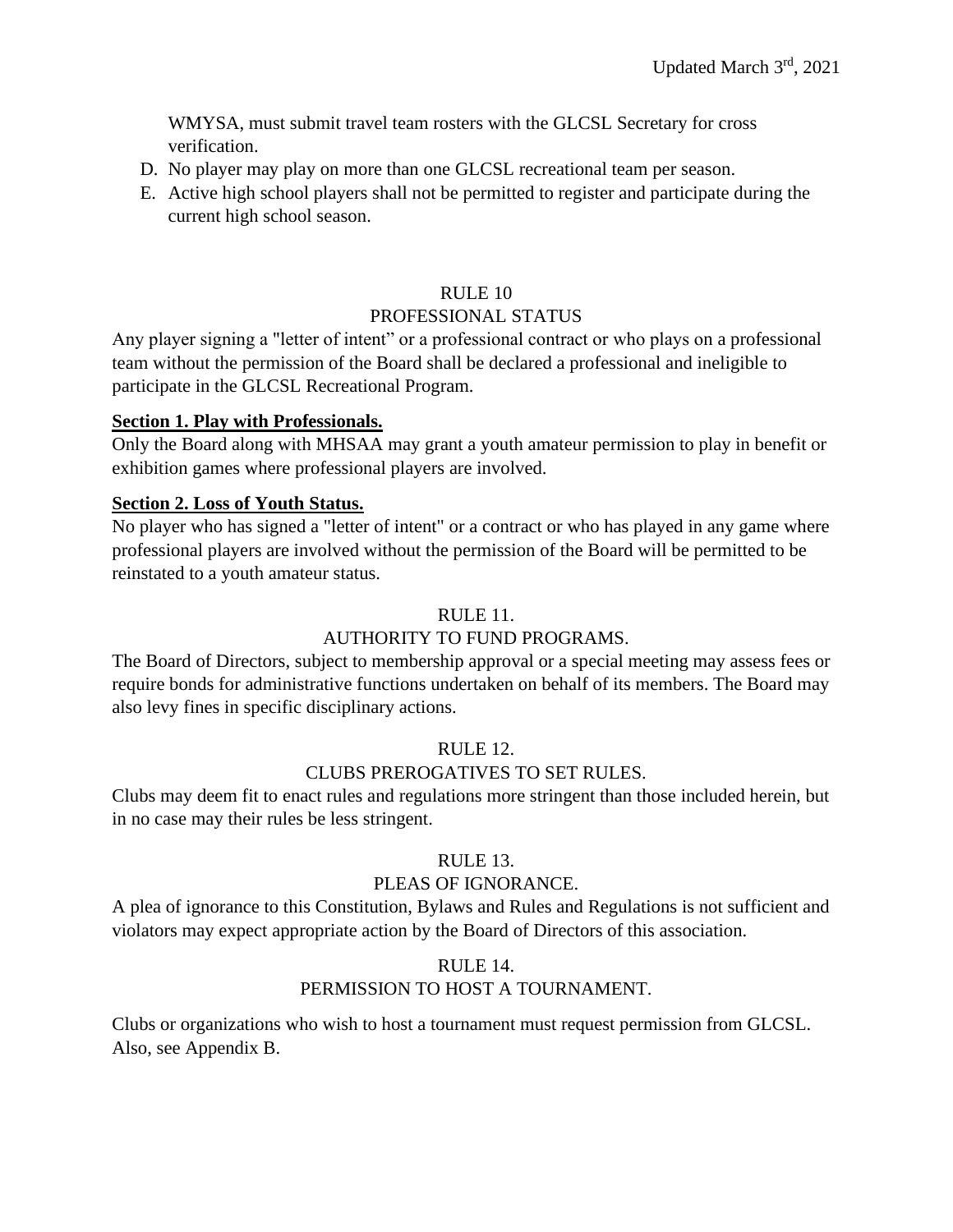WMYSA, must submit travel team rosters with the GLCSL Secretary for cross verification.

- D. No player may play on more than one GLCSL recreational team per season.
- E. Active high school players shall not be permitted to register and participate during the current high school season.

#### RULE 10

#### PROFESSIONAL STATUS

<span id="page-14-0"></span>Any player signing a "letter of intent" or a professional contract or who plays on a professional team without the permission of the Board shall be declared a professional and ineligible to participate in the GLCSL Recreational Program.

#### <span id="page-14-1"></span>**Section 1. Play with Professionals.**

Only the Board along with MHSAA may grant a youth amateur permission to play in benefit or exhibition games where professional players are involved.

#### <span id="page-14-2"></span>**Section 2. Loss of Youth Status.**

No player who has signed a "letter of intent" or a contract or who has played in any game where professional players are involved without the permission of the Board will be permitted to be reinstated to a youth amateur status.

#### RULE 11.

#### AUTHORITY TO FUND PROGRAMS.

<span id="page-14-3"></span>The Board of Directors, subject to membership approval or a special meeting may assess fees or require bonds for administrative functions undertaken on behalf of its members. The Board may also levy fines in specific disciplinary actions.

#### RULE 12.

#### CLUBS PREROGATIVES TO SET RULES.

<span id="page-14-4"></span>Clubs may deem fit to enact rules and regulations more stringent than those included herein, but in no case may their rules be less stringent.

#### RULE 13.

#### PLEAS OF IGNORANCE.

<span id="page-14-5"></span>A plea of ignorance to this Constitution, Bylaws and Rules and Regulations is not sufficient and violators may expect appropriate action by the Board of Directors of this association.

#### RULE 14.

#### PERMISSION TO HOST A TOURNAMENT.

Clubs or organizations who wish to host a tournament must request permission from GLCSL. Also, see Appendix B.